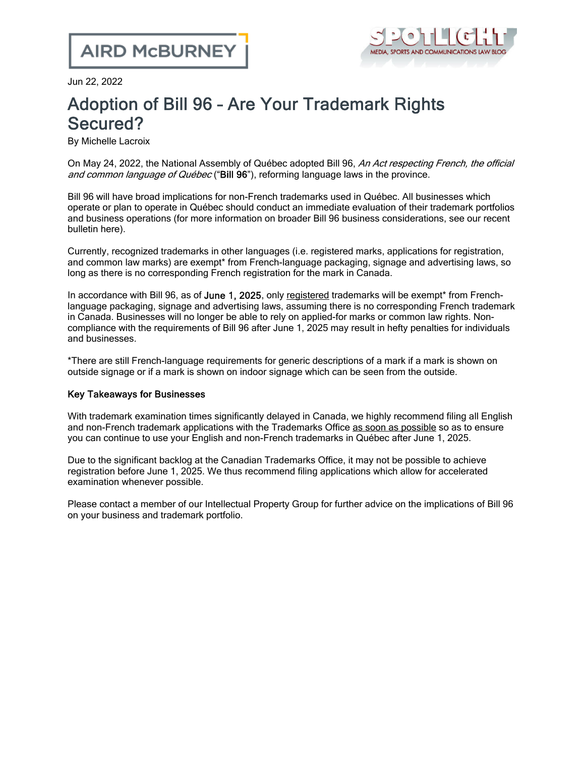

Jun 22, 2022

## Adoption of Bill 96 – Are Your Trademark Rights Secured?

By Michelle Lacroix

On May 24, 2022, the National Assembly of Québec adopted Bill 96, An Act respecting French, the official and common language of Québec ("Bill 96"), reforming language laws in the province.

Bill 96 will have broad implications for non-French trademarks used in Québec. All businesses which operate or plan to operate in Québec should conduct an immediate evaluation of their trademark portfolios and business operations (for more information on broader Bill 96 business considerations, see our recent bulletin [here](https://www.airdberlis.com/insights/publications/publication/enhanced-french-language-requirements-under-bill-96-an-update-for-employers-with-quebec-based-employees-and-operations)).

Currently, recognized trademarks in other languages (i.e. registered marks, applications for registration, and common law marks) are exempt\* from French-language packaging, signage and advertising laws, so long as there is no corresponding French registration for the mark in Canada.

In accordance with Bill 96, as of June 1, 2025, only registered trademarks will be exempt<sup>\*</sup> from Frenchlanguage packaging, signage and advertising laws, assuming there is no corresponding French trademark in Canada. Businesses will no longer be able to rely on applied-for marks or common law rights. Noncompliance with the requirements of Bill 96 after June 1, 2025 may result in hefty penalties for individuals and businesses.

\*There are still French-language requirements for generic descriptions of a mark if a mark is shown on outside signage or if a mark is shown on indoor signage which can be seen from the outside.

## Key Takeaways for Businesses

With trademark examination times significantly delayed in Canada, we highly recommend filing all English and non-French trademark applications with the Trademarks Office as soon as possible so as to ensure you can continue to use your English and non-French trademarks in Québec after June 1, 2025.

Due to the significant backlog at the Canadian Trademarks Office, it may not be possible to achieve registration before June 1, 2025. We thus recommend filing applications which allow for accelerated examination whenever possible.

Please contact a member of our [Intellectual](https://www.airdberlis.com/what-we-do/expertise/service/intellectual-property) Property Group for further advice on the implications of Bill 96 on your business and trademark portfolio.